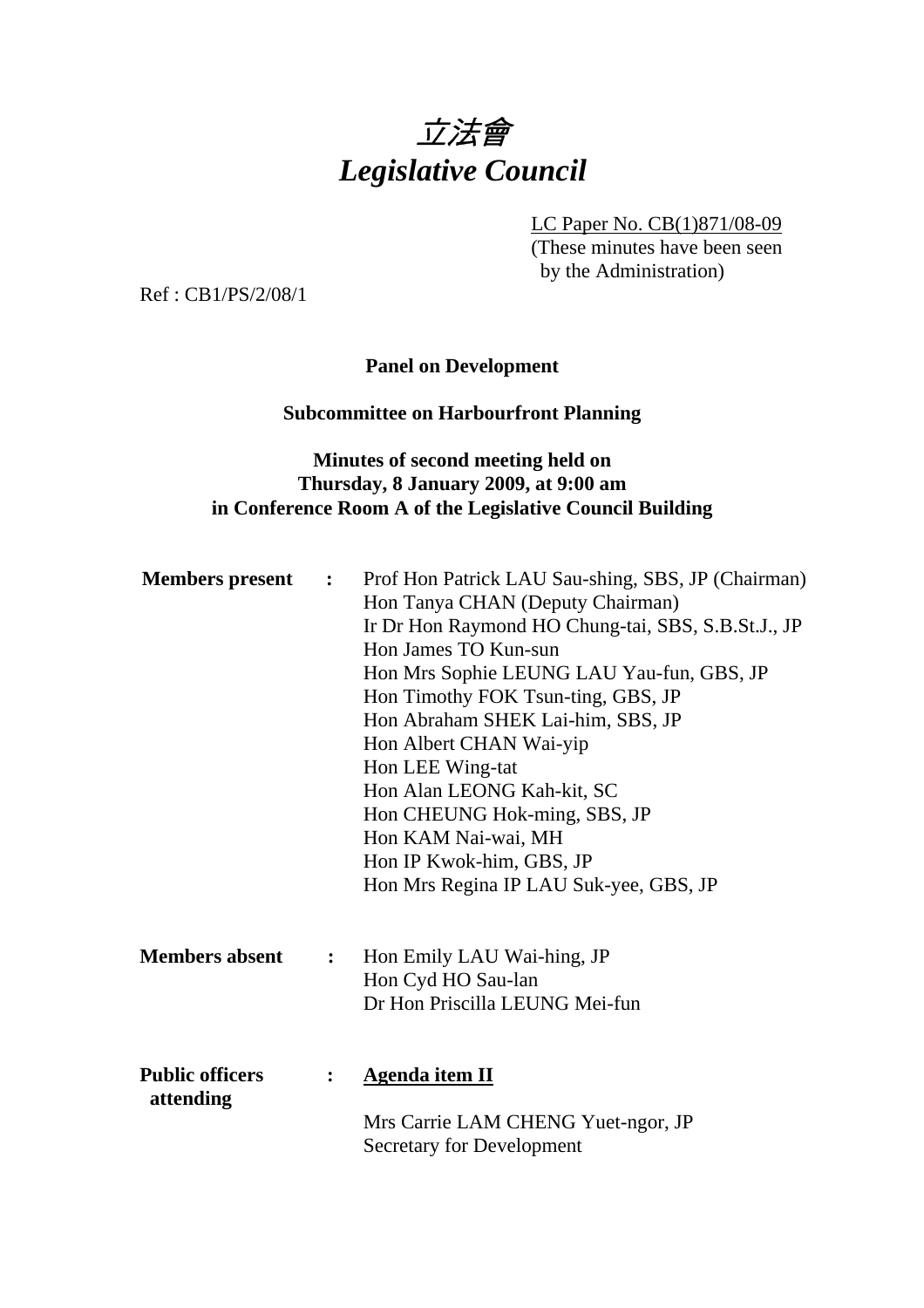

LC Paper No. CB(1)871/08-09

(These minutes have been seen by the Administration)

Ref : CB1/PS/2/08/1

**Panel on Development** 

#### **Subcommittee on Harbourfront Planning**

### **Minutes of second meeting held on Thursday, 8 January 2009, at 9:00 am in Conference Room A of the Legislative Council Building**

| <b>Members</b> present              | $\ddot{\bullet}$ | Prof Hon Patrick LAU Sau-shing, SBS, JP (Chairman)<br>Hon Tanya CHAN (Deputy Chairman)<br>Ir Dr Hon Raymond HO Chung-tai, SBS, S.B.St.J., JP<br>Hon James TO Kun-sun<br>Hon Mrs Sophie LEUNG LAU Yau-fun, GBS, JP<br>Hon Timothy FOK Tsun-ting, GBS, JP<br>Hon Abraham SHEK Lai-him, SBS, JP<br>Hon Albert CHAN Wai-yip<br>Hon LEE Wing-tat<br>Hon Alan LEONG Kah-kit, SC<br>Hon CHEUNG Hok-ming, SBS, JP<br>Hon KAM Nai-wai, MH<br>Hon IP Kwok-him, GBS, JP<br>Hon Mrs Regina IP LAU Suk-yee, GBS, JP |
|-------------------------------------|------------------|--------------------------------------------------------------------------------------------------------------------------------------------------------------------------------------------------------------------------------------------------------------------------------------------------------------------------------------------------------------------------------------------------------------------------------------------------------------------------------------------------------|
| <b>Members absent</b>               | $\ddot{\cdot}$   | Hon Emily LAU Wai-hing, JP<br>Hon Cyd HO Sau-lan<br>Dr Hon Priscilla LEUNG Mei-fun                                                                                                                                                                                                                                                                                                                                                                                                                     |
| <b>Public officers</b><br>attending | $\ddot{\cdot}$   | <b>Agenda item II</b><br>Mrs Carrie LAM CHENG Yuet-ngor, JP<br><b>Secretary for Development</b>                                                                                                                                                                                                                                                                                                                                                                                                        |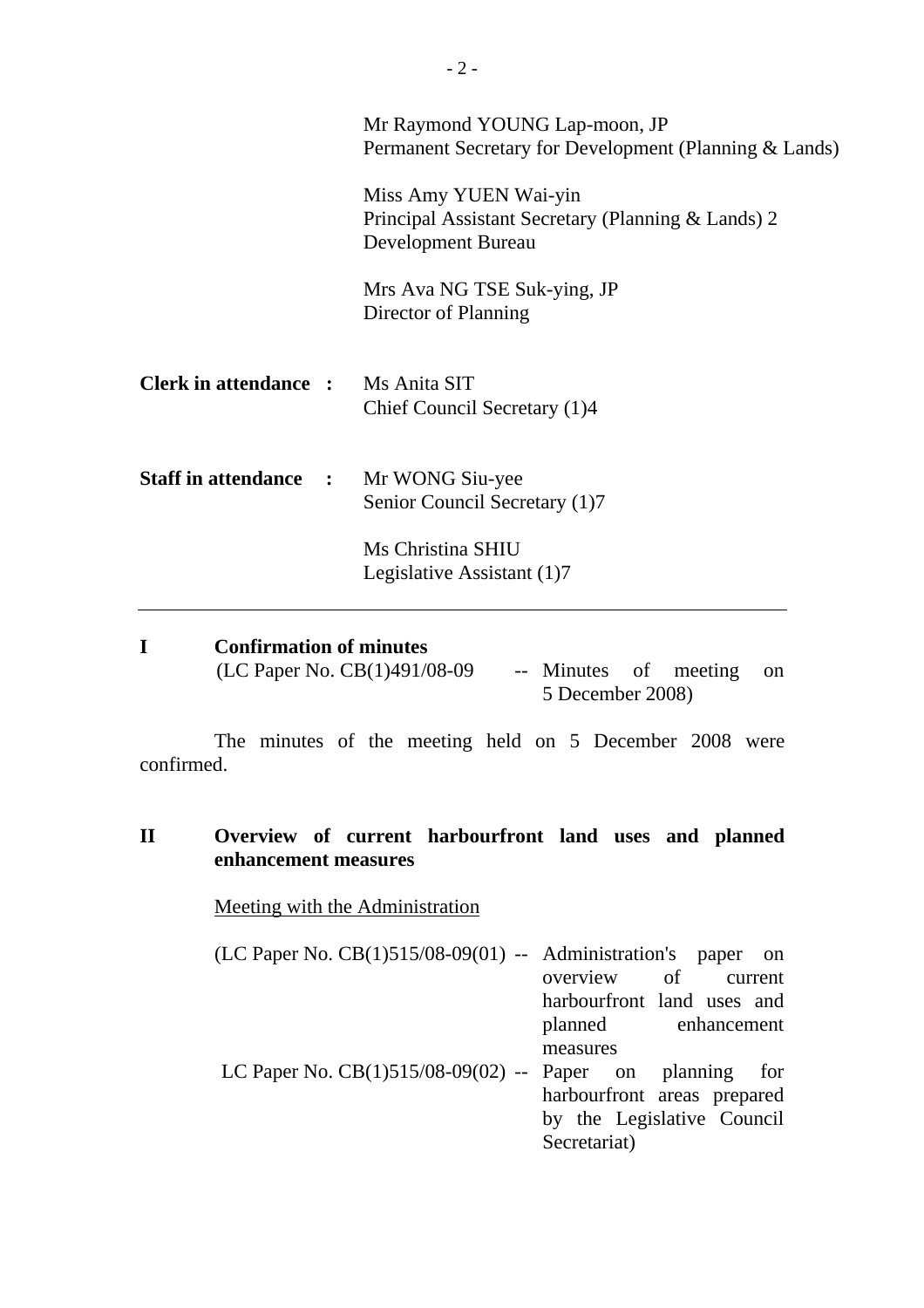|                                           | Mr Raymond YOUNG Lap-moon, JP<br>Permanent Secretary for Development (Planning & Lands)           |
|-------------------------------------------|---------------------------------------------------------------------------------------------------|
|                                           | Miss Amy YUEN Wai-yin<br>Principal Assistant Secretary (Planning & Lands) 2<br>Development Bureau |
|                                           | Mrs Ava NG TSE Suk-ying, JP<br>Director of Planning                                               |
| <b>Clerk in attendance :</b> Ms Anita SIT | Chief Council Secretary (1)4                                                                      |
| <b>Staff in attendance :</b>              | Mr WONG Siu-yee<br>Senior Council Secretary (1)7                                                  |
|                                           | Ms Christina SHIU<br>Legislative Assistant (1)7                                                   |

| <b>Confirmation of minutes</b> |                          |  |
|--------------------------------|--------------------------|--|
| (LC Paper No. $CB(1)491/08-09$ | -- Minutes of meeting on |  |
|                                | 5 December 2008)         |  |

 The minutes of the meeting held on 5 December 2008 were confirmed.

# **II Overview of current harbourfront land uses and planned enhancement measures**

Meeting with the Administration

| $(LC$ Paper No. $CB(1)515/08-09(01)$ -- Administration's paper on |          |                             |
|-------------------------------------------------------------------|----------|-----------------------------|
|                                                                   |          | overview of current         |
|                                                                   |          | harbourfront land uses and  |
|                                                                   |          | planned enhancement         |
|                                                                   | measures |                             |
| LC Paper No. $CB(1)515/08-09(02)$ -- Paper on planning for        |          |                             |
|                                                                   |          | harbourfront areas prepared |
|                                                                   |          | by the Legislative Council  |

Secretariat)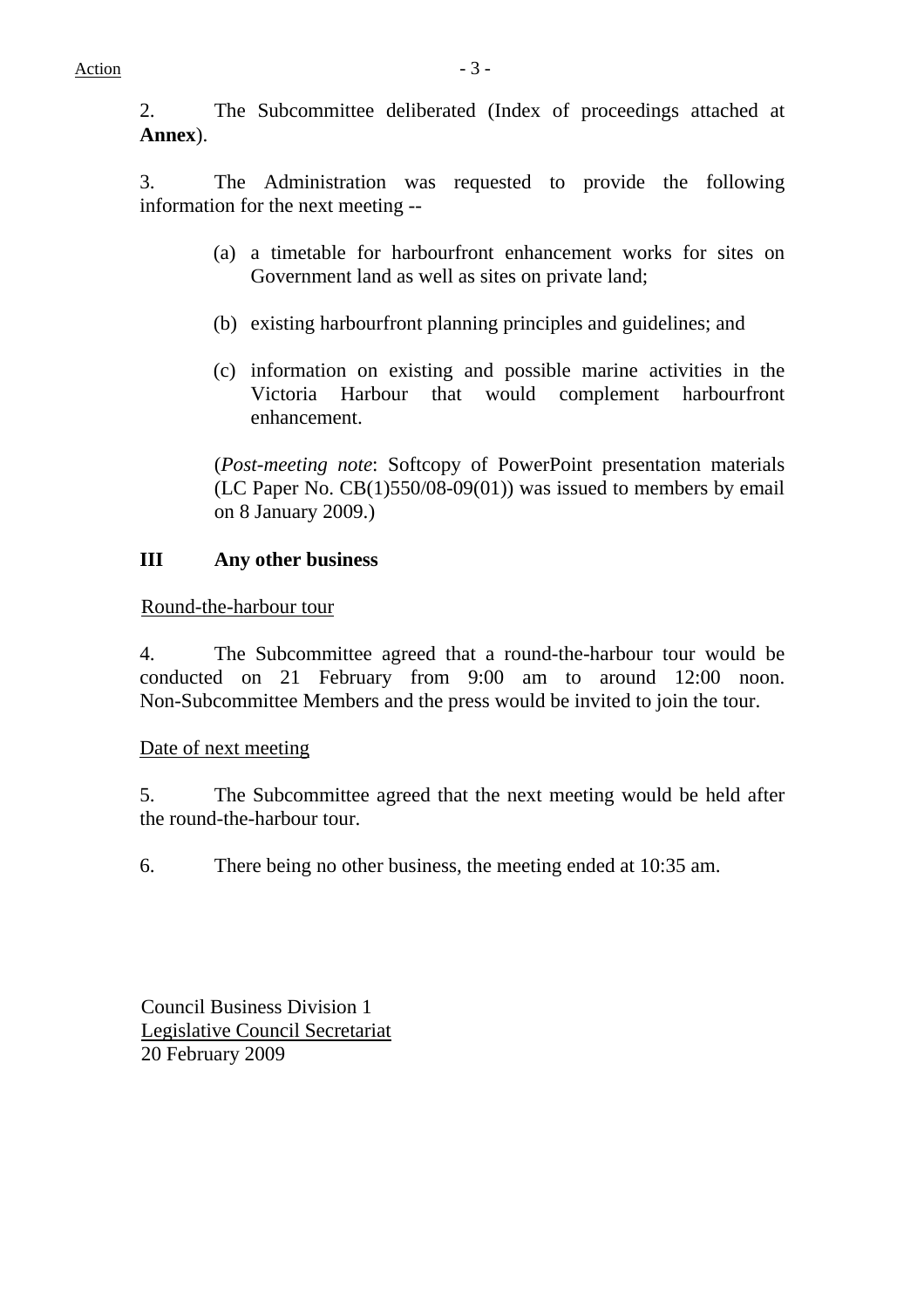2. The Subcommittee deliberated (Index of proceedings attached at **Annex**).

3. The Administration was requested to provide the following information for the next meeting --

- (a) a timetable for harbourfront enhancement works for sites on Government land as well as sites on private land;
- (b) existing harbourfront planning principles and guidelines; and
- (c) information on existing and possible marine activities in the Victoria Harbour that would complement harbourfront enhancement.

(*Post-meeting note*: Softcopy of PowerPoint presentation materials (LC Paper No. CB(1)550/08-09(01)) was issued to members by email on 8 January 2009.)

### **III Any other business**

### Round-the-harbour tour

4. The Subcommittee agreed that a round-the-harbour tour would be conducted on 21 February from 9:00 am to around 12:00 noon. Non-Subcommittee Members and the press would be invited to join the tour.

#### Date of next meeting

5. The Subcommittee agreed that the next meeting would be held after the round-the-harbour tour.

6. There being no other business, the meeting ended at 10:35 am.

Council Business Division 1 Legislative Council Secretariat 20 February 2009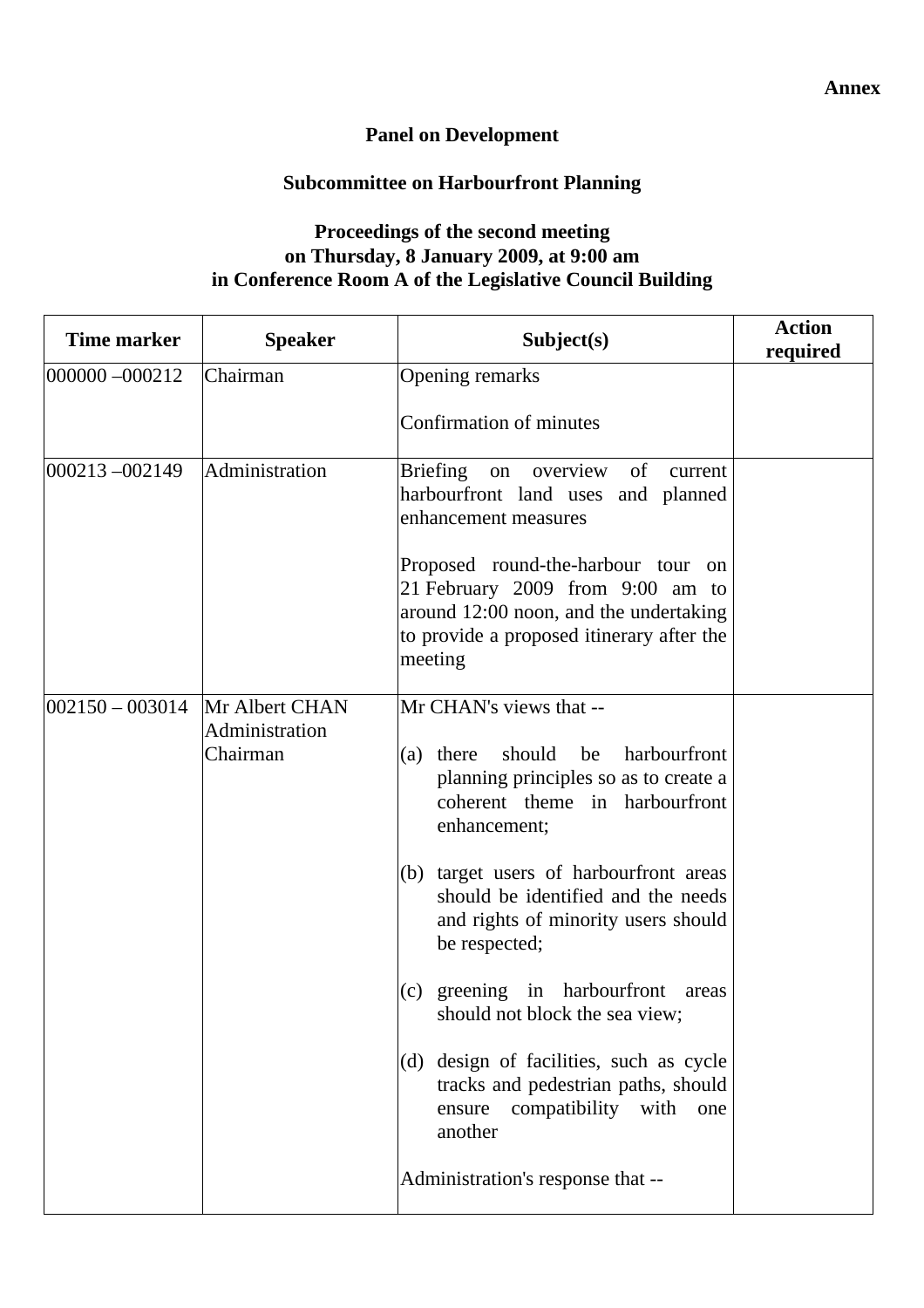# **Panel on Development**

# **Subcommittee on Harbourfront Planning**

### **Proceedings of the second meeting on Thursday, 8 January 2009, at 9:00 am in Conference Room A of the Legislative Council Building**

| Time marker         | <b>Speaker</b>                               | Subject(s)                                                                                                                                                                                                                                                                                                                                                                                                                                                                                                                                                       | <b>Action</b><br>required |
|---------------------|----------------------------------------------|------------------------------------------------------------------------------------------------------------------------------------------------------------------------------------------------------------------------------------------------------------------------------------------------------------------------------------------------------------------------------------------------------------------------------------------------------------------------------------------------------------------------------------------------------------------|---------------------------|
| $ 000000 - 000212$  | Chairman                                     | Opening remarks                                                                                                                                                                                                                                                                                                                                                                                                                                                                                                                                                  |                           |
|                     |                                              | Confirmation of minutes                                                                                                                                                                                                                                                                                                                                                                                                                                                                                                                                          |                           |
| 000213-002149       | Administration                               | Briefing on overview<br>of<br>current<br>harbourfront land uses and planned<br>enhancement measures<br>Proposed round-the-harbour tour on<br>21 February 2009 from 9:00 am to<br>around 12:00 noon, and the undertaking                                                                                                                                                                                                                                                                                                                                          |                           |
|                     |                                              | to provide a proposed itinerary after the<br>meeting                                                                                                                                                                                                                                                                                                                                                                                                                                                                                                             |                           |
| $ 002150 - 003014 $ | Mr Albert CHAN<br>Administration<br>Chairman | Mr CHAN's views that --<br>should<br>be<br>harbourfront<br>(a) there<br>planning principles so as to create a<br>coherent theme in harbourfront<br>enhancement;<br>(b) target users of harbourfront areas<br>should be identified and the needs<br>and rights of minority users should<br>be respected;<br>$(c)$ greening in harbourfront<br>areas<br>should not block the sea view;<br>(d) design of facilities, such as cycle<br>tracks and pedestrian paths, should<br>compatibility<br>with<br>ensure<br>one<br>another<br>Administration's response that -- |                           |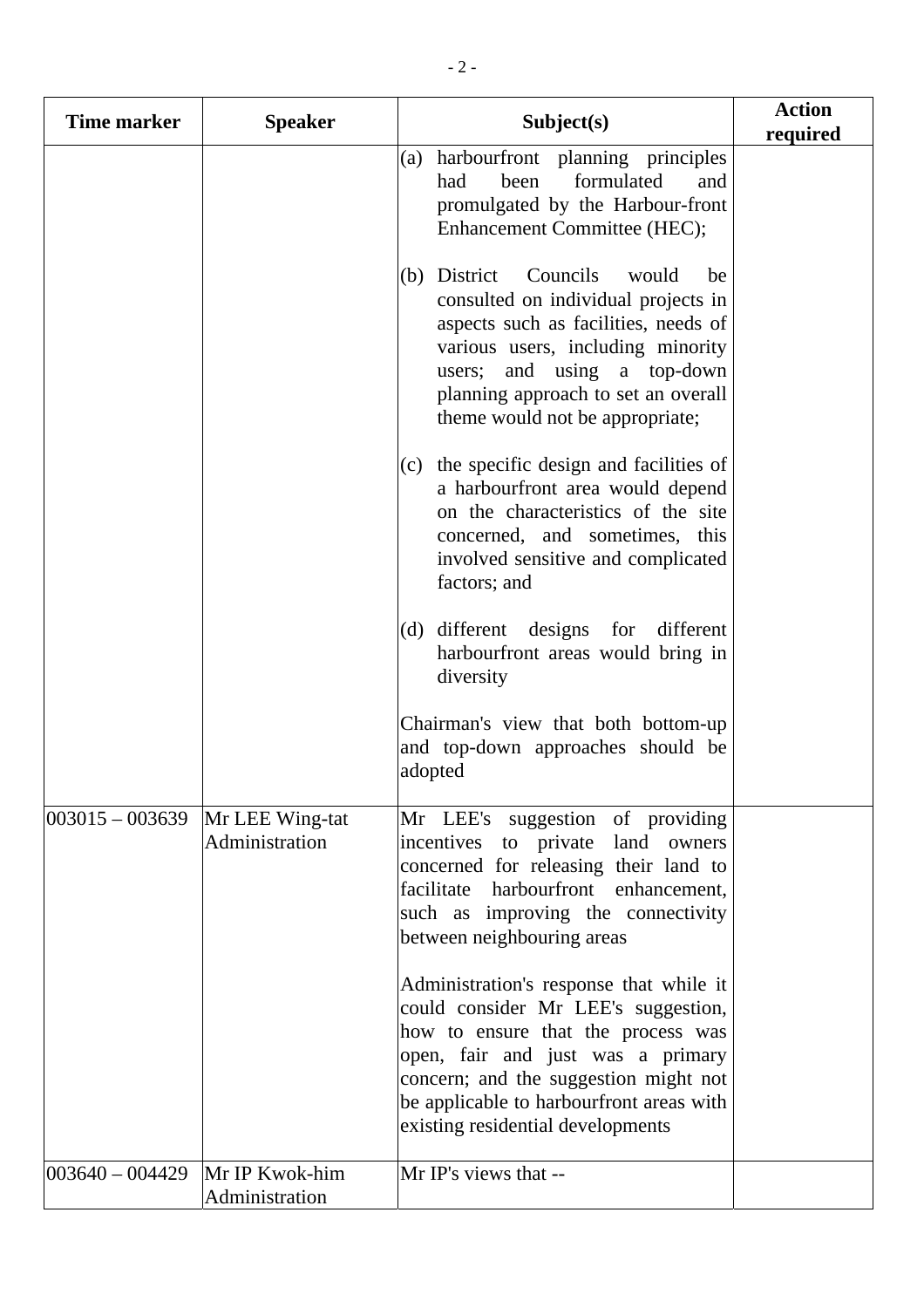| <b>Time marker</b>  | <b>Speaker</b>                    | Subject(s)                                                                                                                                                                                                                                                                          | <b>Action</b><br>required |
|---------------------|-----------------------------------|-------------------------------------------------------------------------------------------------------------------------------------------------------------------------------------------------------------------------------------------------------------------------------------|---------------------------|
|                     |                                   | (a) harbourfront planning principles<br>been<br>formulated<br>had<br>and<br>promulgated by the Harbour-front<br>Enhancement Committee (HEC);                                                                                                                                        |                           |
|                     |                                   | Councils<br>(b) District<br>would<br>be<br>consulted on individual projects in<br>aspects such as facilities, needs of<br>various users, including minority<br>and using a top-down<br>users;<br>planning approach to set an overall<br>theme would not be appropriate;             |                           |
|                     |                                   | (c) the specific design and facilities of<br>a harbourfront area would depend<br>on the characteristics of the site<br>concerned, and sometimes, this<br>involved sensitive and complicated<br>factors; and                                                                         |                           |
|                     |                                   | (d) different designs for<br>different<br>harbourfront areas would bring in<br>diversity                                                                                                                                                                                            |                           |
|                     |                                   | Chairman's view that both bottom-up<br>and top-down approaches should be<br>adopted                                                                                                                                                                                                 |                           |
| $ 003015 - 003639 $ | Mr LEE Wing-tat<br>Administration | Mr LEE's suggestion of providing<br>incentives<br>to private<br>land owners<br>concerned for releasing their land to<br>facilitate<br>harbourfront enhancement,<br>such as improving the connectivity<br>between neighbouring areas                                                 |                           |
|                     |                                   | Administration's response that while it<br>could consider Mr LEE's suggestion,<br>how to ensure that the process was<br>open, fair and just was a primary<br>concern; and the suggestion might not<br>be applicable to harbourfront areas with<br>existing residential developments |                           |
| $ 003640 - 004429 $ | Mr IP Kwok-him<br>Administration  | Mr IP's views that --                                                                                                                                                                                                                                                               |                           |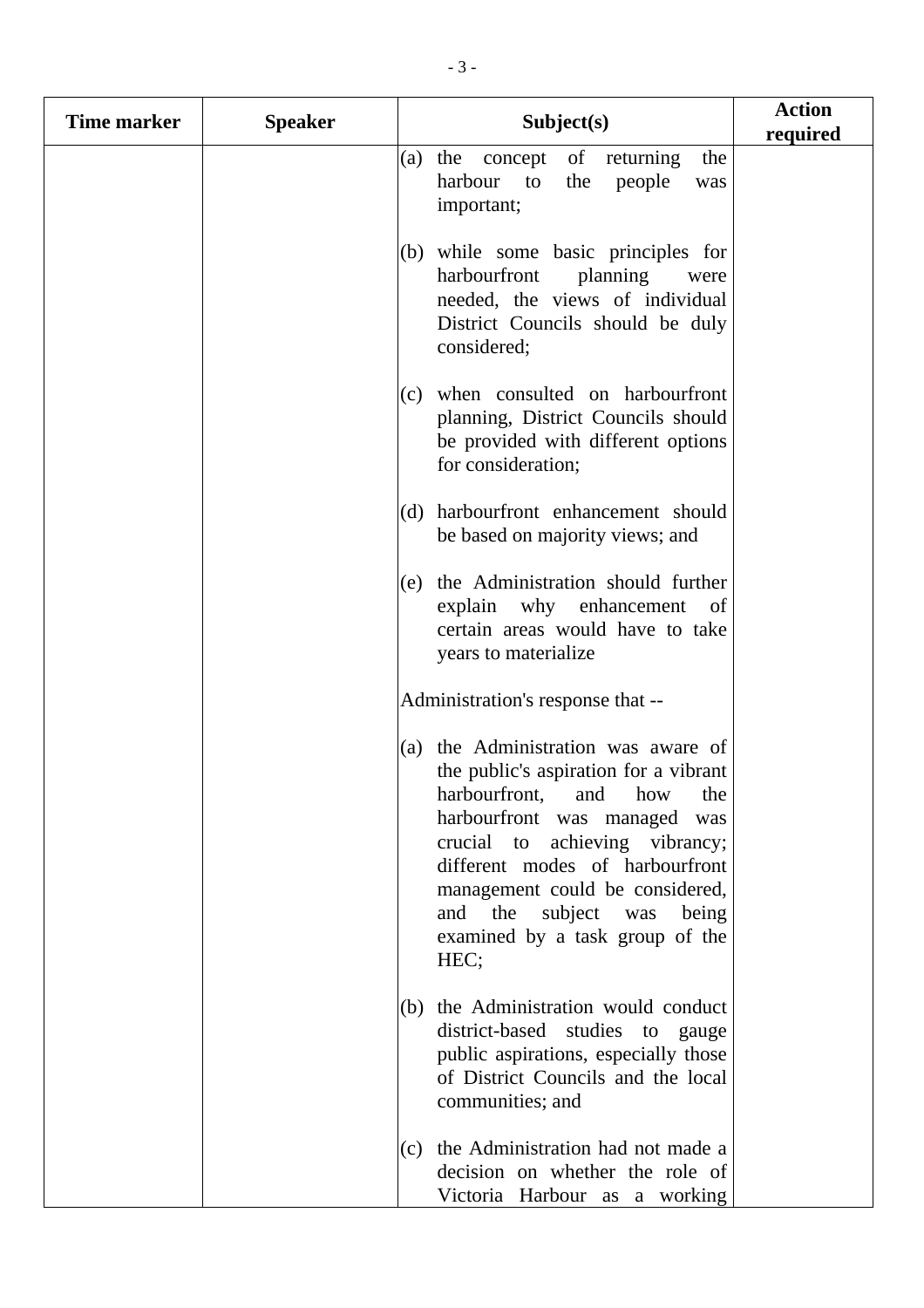| <b>Time marker</b> | <b>Speaker</b> | Subject(s)                                                                                                                                                                                                                                                                                                                            | <b>Action</b><br>required |
|--------------------|----------------|---------------------------------------------------------------------------------------------------------------------------------------------------------------------------------------------------------------------------------------------------------------------------------------------------------------------------------------|---------------------------|
|                    |                | of<br>(a) the<br>returning<br>the<br>concept<br>harbour<br>$\overline{\mathbf{t}}$<br>the<br>people<br>was<br>important;                                                                                                                                                                                                              |                           |
|                    |                | (b) while some basic principles for<br>harbourfront<br>planning<br>were<br>needed, the views of individual<br>District Councils should be duly<br>considered;                                                                                                                                                                         |                           |
|                    |                | (c) when consulted on harbourfront<br>planning, District Councils should<br>be provided with different options<br>for consideration;                                                                                                                                                                                                  |                           |
|                    |                | harbourfront enhancement should<br>(d)<br>be based on majority views; and                                                                                                                                                                                                                                                             |                           |
|                    |                | (e) the Administration should further<br>explain why enhancement<br>of<br>certain areas would have to take<br>years to materialize                                                                                                                                                                                                    |                           |
|                    |                | Administration's response that --                                                                                                                                                                                                                                                                                                     |                           |
|                    |                | (a) the Administration was aware of<br>the public's aspiration for a vibrant<br>harbourfront, and how<br>the<br>harbourfront was managed<br>was<br>crucial to achieving vibrancy;<br>different modes of harbourfront<br>management could be considered,<br>and the<br>subject was<br>being<br>examined by a task group of the<br>HEC; |                           |
|                    |                | (b) the Administration would conduct<br>district-based studies to gauge<br>public aspirations, especially those<br>of District Councils and the local<br>communities; and                                                                                                                                                             |                           |
|                    |                | (c) the Administration had not made a<br>decision on whether the role of<br>Victoria Harbour as a working                                                                                                                                                                                                                             |                           |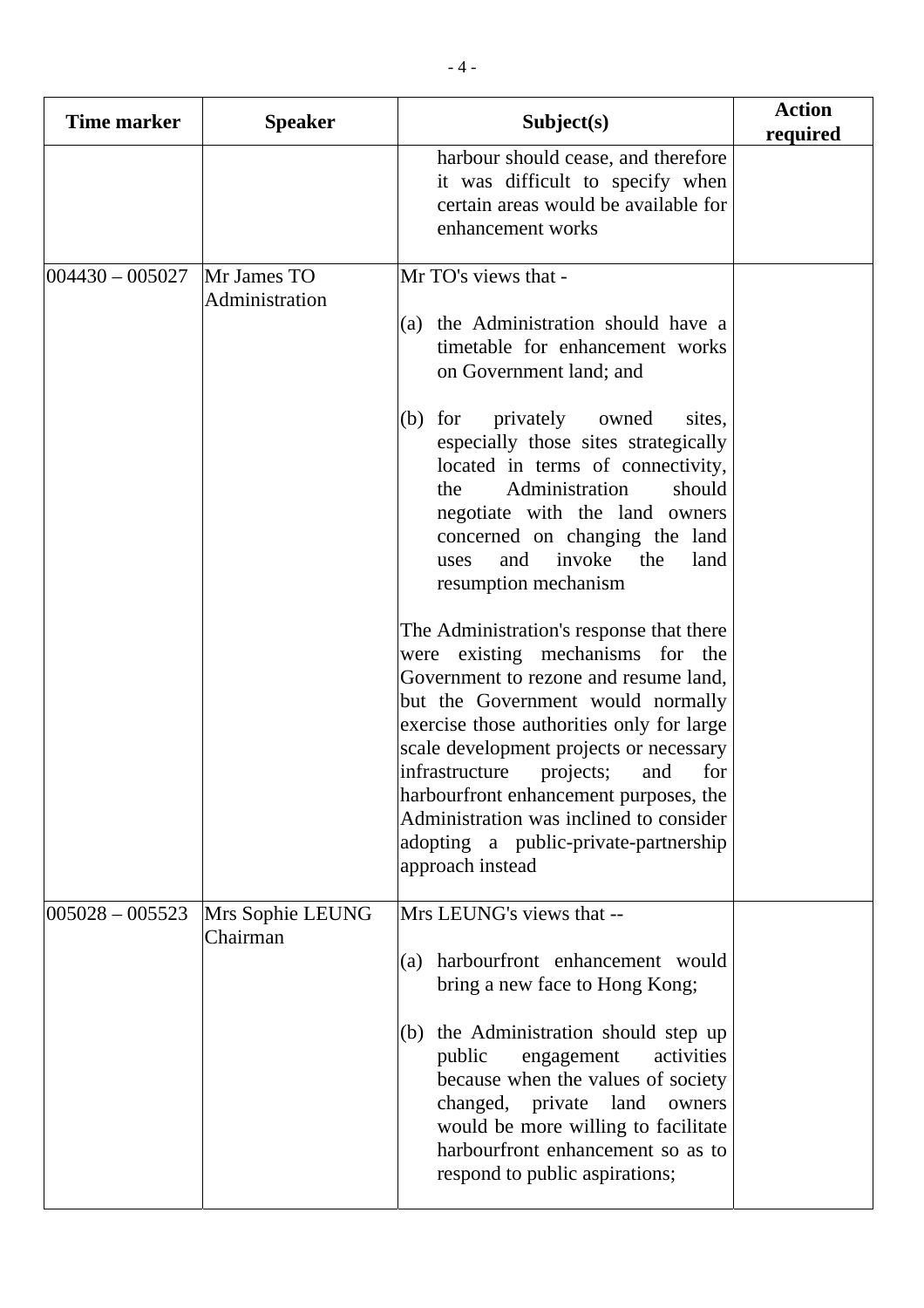| <b>Time marker</b>  | <b>Speaker</b>                | Subject(s)                                                                                                                                                                                                                                                                                                                                                                                                                                                                                                                                                                                                                                                                                                                                                                                                                                                                       | <b>Action</b><br>required |
|---------------------|-------------------------------|----------------------------------------------------------------------------------------------------------------------------------------------------------------------------------------------------------------------------------------------------------------------------------------------------------------------------------------------------------------------------------------------------------------------------------------------------------------------------------------------------------------------------------------------------------------------------------------------------------------------------------------------------------------------------------------------------------------------------------------------------------------------------------------------------------------------------------------------------------------------------------|---------------------------|
|                     |                               | harbour should cease, and therefore<br>it was difficult to specify when<br>certain areas would be available for<br>enhancement works                                                                                                                                                                                                                                                                                                                                                                                                                                                                                                                                                                                                                                                                                                                                             |                           |
| $004430 - 005027$   | Mr James TO<br>Administration | Mr TO's views that -<br>(a) the Administration should have a<br>timetable for enhancement works<br>on Government land; and<br>privately<br>owned<br>$(b)$ for<br>sites,<br>especially those sites strategically<br>located in terms of connectivity,<br>Administration<br>should<br>the<br>negotiate with the land owners<br>concerned on changing the land<br>invoke<br>the<br>and<br>land<br>uses<br>resumption mechanism<br>The Administration's response that there<br>were existing mechanisms for the<br>Government to rezone and resume land,<br>but the Government would normally<br>exercise those authorities only for large<br>scale development projects or necessary<br>infrastructure<br>projects;<br>for<br>and<br>harbourfront enhancement purposes, the<br>Administration was inclined to consider<br>adopting a public-private-partnership<br>approach instead |                           |
| $ 005028 - 005523 $ | Mrs Sophie LEUNG<br>Chairman  | Mrs LEUNG's views that --<br>harbourfront enhancement would<br>(a)<br>bring a new face to Hong Kong;<br>the Administration should step up<br>(b)<br>public<br>engagement<br>activities<br>because when the values of society<br>changed, private land<br>owners<br>would be more willing to facilitate<br>harbourfront enhancement so as to<br>respond to public aspirations;                                                                                                                                                                                                                                                                                                                                                                                                                                                                                                    |                           |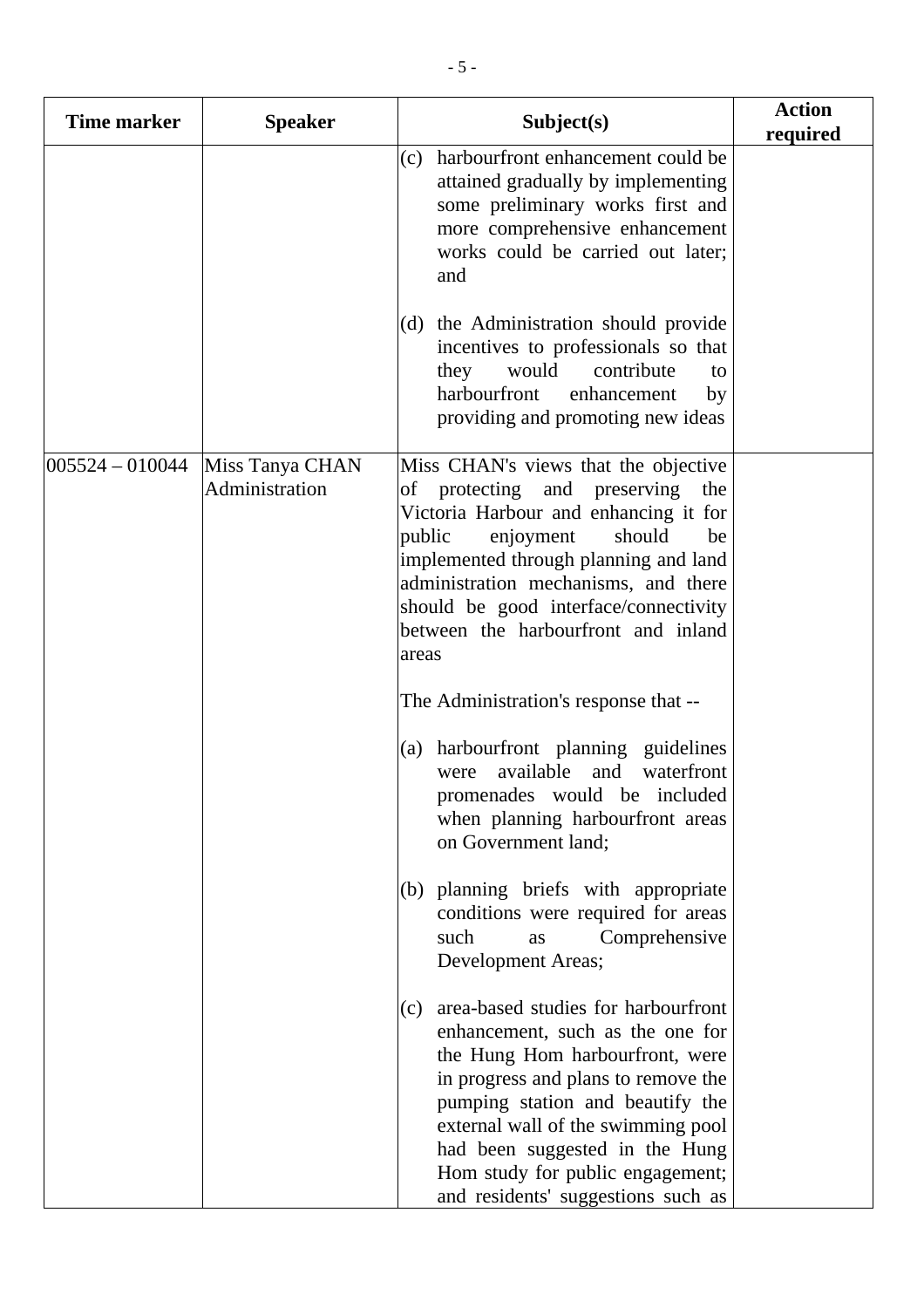| <b>Time marker</b>  | <b>Speaker</b>                    | Subject(s)                                                                                                                                                                                                                                                                                                                                     | <b>Action</b><br>required |
|---------------------|-----------------------------------|------------------------------------------------------------------------------------------------------------------------------------------------------------------------------------------------------------------------------------------------------------------------------------------------------------------------------------------------|---------------------------|
|                     |                                   | harbourfront enhancement could be<br>(c)<br>attained gradually by implementing<br>some preliminary works first and<br>more comprehensive enhancement<br>works could be carried out later;<br>and                                                                                                                                               |                           |
|                     |                                   | (d) the Administration should provide<br>incentives to professionals so that<br>would<br>they<br>contribute<br>to<br>harbourfront<br>enhancement<br>by<br>providing and promoting new ideas                                                                                                                                                    |                           |
| $ 005524 - 010044 $ | Miss Tanya CHAN<br>Administration | Miss CHAN's views that the objective<br>of protecting and preserving<br>the<br>Victoria Harbour and enhancing it for<br>enjoyment<br>public<br>should<br>be<br>implemented through planning and land<br>administration mechanisms, and there<br>should be good interface/connectivity<br>between the harbourfront and inland<br>areas          |                           |
|                     |                                   | The Administration's response that --                                                                                                                                                                                                                                                                                                          |                           |
|                     |                                   | (a) harbourfront planning guidelines<br>available<br>and<br>waterfront<br>were<br>promenades would be included<br>when planning harbourfront areas<br>on Government land;                                                                                                                                                                      |                           |
|                     |                                   | (b) planning briefs with appropriate<br>conditions were required for areas<br>such<br>Comprehensive<br>as<br>Development Areas;                                                                                                                                                                                                                |                           |
|                     |                                   | area-based studies for harbourfront<br>(c)<br>enhancement, such as the one for<br>the Hung Hom harbourfront, were<br>in progress and plans to remove the<br>pumping station and beautify the<br>external wall of the swimming pool<br>had been suggested in the Hung<br>Hom study for public engagement;<br>and residents' suggestions such as |                           |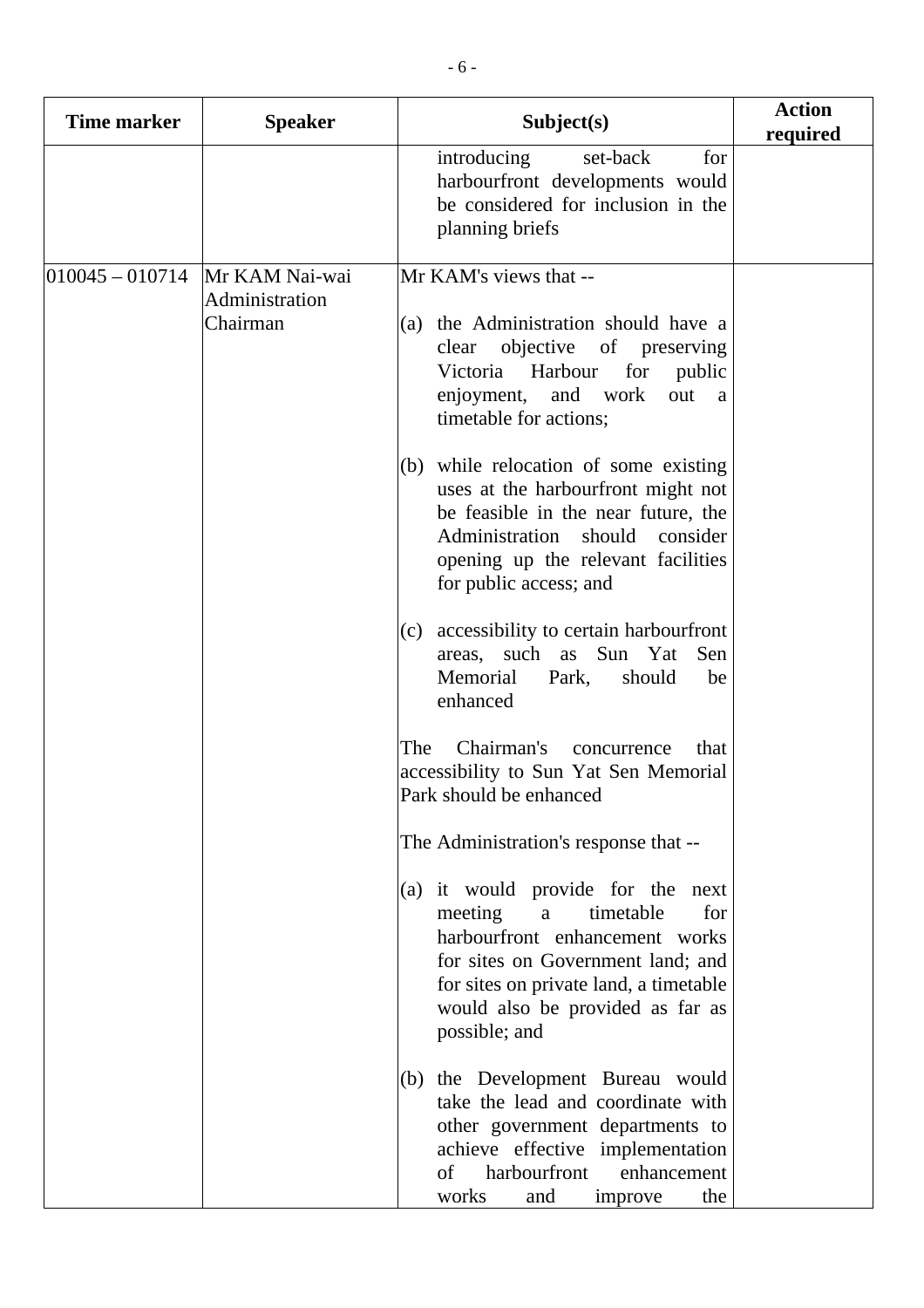| <b>Time marker</b> | <b>Speaker</b>                               | Subject(s)                                                                                                                                                                                                                                                                                                                                                                                                                                                                                                                                                                                                                                                                                                                                                                                                                                                                                                                                                                              | <b>Action</b><br>required |
|--------------------|----------------------------------------------|-----------------------------------------------------------------------------------------------------------------------------------------------------------------------------------------------------------------------------------------------------------------------------------------------------------------------------------------------------------------------------------------------------------------------------------------------------------------------------------------------------------------------------------------------------------------------------------------------------------------------------------------------------------------------------------------------------------------------------------------------------------------------------------------------------------------------------------------------------------------------------------------------------------------------------------------------------------------------------------------|---------------------------|
|                    |                                              | introducing<br>set-back<br>for<br>harbourfront developments would<br>be considered for inclusion in the<br>planning briefs                                                                                                                                                                                                                                                                                                                                                                                                                                                                                                                                                                                                                                                                                                                                                                                                                                                              |                           |
| $010045 - 010714$  | Mr KAM Nai-wai<br>Administration<br>Chairman | Mr KAM's views that --<br>(a) the Administration should have a<br>objective of preserving<br>clear<br>Victoria Harbour<br>for<br>public<br>enjoyment,<br>and work<br>out<br>a<br>timetable for actions;<br>(b) while relocation of some existing<br>uses at the harbourfront might not<br>be feasible in the near future, the<br>Administration should<br>consider<br>opening up the relevant facilities<br>for public access; and<br>accessibility to certain harbourfront<br>(c)<br>areas, such as Sun Yat<br>Sen<br>Memorial<br>Park,<br>should<br>be<br>enhanced<br>Chairman's<br>The<br>concurrence<br>that<br>accessibility to Sun Yat Sen Memorial<br>Park should be enhanced<br>The Administration's response that --<br>(a) it would provide for the next<br>meeting<br>timetable<br>for<br>$\mathbf{a}$<br>harbourfront enhancement works<br>for sites on Government land; and<br>for sites on private land, a timetable<br>would also be provided as far as<br>possible; and |                           |
|                    |                                              | (b) the Development Bureau would<br>take the lead and coordinate with<br>other government departments to<br>achieve effective implementation<br>harbourfront<br>of<br>enhancement<br>works<br>the<br>and<br>improve                                                                                                                                                                                                                                                                                                                                                                                                                                                                                                                                                                                                                                                                                                                                                                     |                           |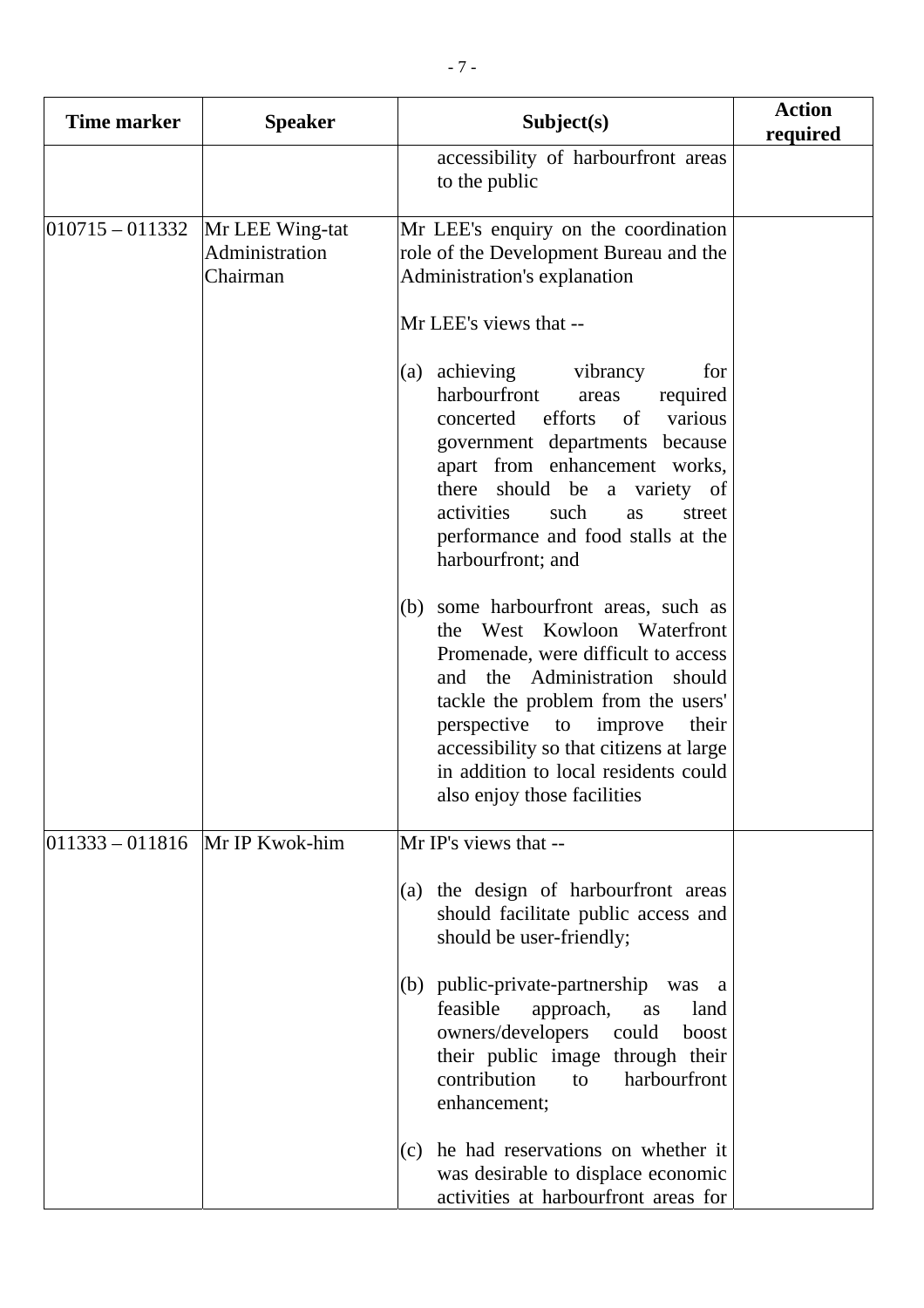| <b>Time marker</b>                 | <b>Speaker</b>                                | Subject(s)                                                                                                                                                                                                                                                                                                                                                                                                                                                 | <b>Action</b><br>required |
|------------------------------------|-----------------------------------------------|------------------------------------------------------------------------------------------------------------------------------------------------------------------------------------------------------------------------------------------------------------------------------------------------------------------------------------------------------------------------------------------------------------------------------------------------------------|---------------------------|
|                                    |                                               | accessibility of harbourfront areas<br>to the public                                                                                                                                                                                                                                                                                                                                                                                                       |                           |
| $ 010715 - 011332 $                | Mr LEE Wing-tat<br>Administration<br>Chairman | Mr LEE's enquiry on the coordination<br>role of the Development Bureau and the<br>Administration's explanation                                                                                                                                                                                                                                                                                                                                             |                           |
|                                    |                                               | Mr LEE's views that --<br>(a) achieving<br>vibrancy<br>for<br>harbourfront<br>required<br>areas<br>efforts<br>concerted<br>various<br>of<br>government departments because<br>apart from enhancement works,<br>there should be a variety of<br>activities<br>such<br>as<br>street<br>performance and food stalls at the<br>harbourfront; and<br>(b) some harbourfront areas, such as<br>the West Kowloon Waterfront<br>Promenade, were difficult to access |                           |
|                                    |                                               | and the Administration<br>should<br>tackle the problem from the users'<br>perspective<br>improve<br>to<br>their<br>accessibility so that citizens at large<br>in addition to local residents could<br>also enjoy those facilities                                                                                                                                                                                                                          |                           |
| $ 011333 - 011816 $ Mr IP Kwok-him |                                               | Mr IP's views that --                                                                                                                                                                                                                                                                                                                                                                                                                                      |                           |
|                                    |                                               | (a) the design of harbourfront areas<br>should facilitate public access and<br>should be user-friendly;                                                                                                                                                                                                                                                                                                                                                    |                           |
|                                    |                                               | $(b)$ public-private-partnership<br>was a<br>feasible<br>approach,<br>land<br>as<br>owners/developers<br>could<br>boost<br>their public image through their<br>contribution<br>harbourfront<br>to<br>enhancement;                                                                                                                                                                                                                                          |                           |
|                                    |                                               | $(c)$ he had reservations on whether it<br>was desirable to displace economic<br>activities at harbourfront areas for                                                                                                                                                                                                                                                                                                                                      |                           |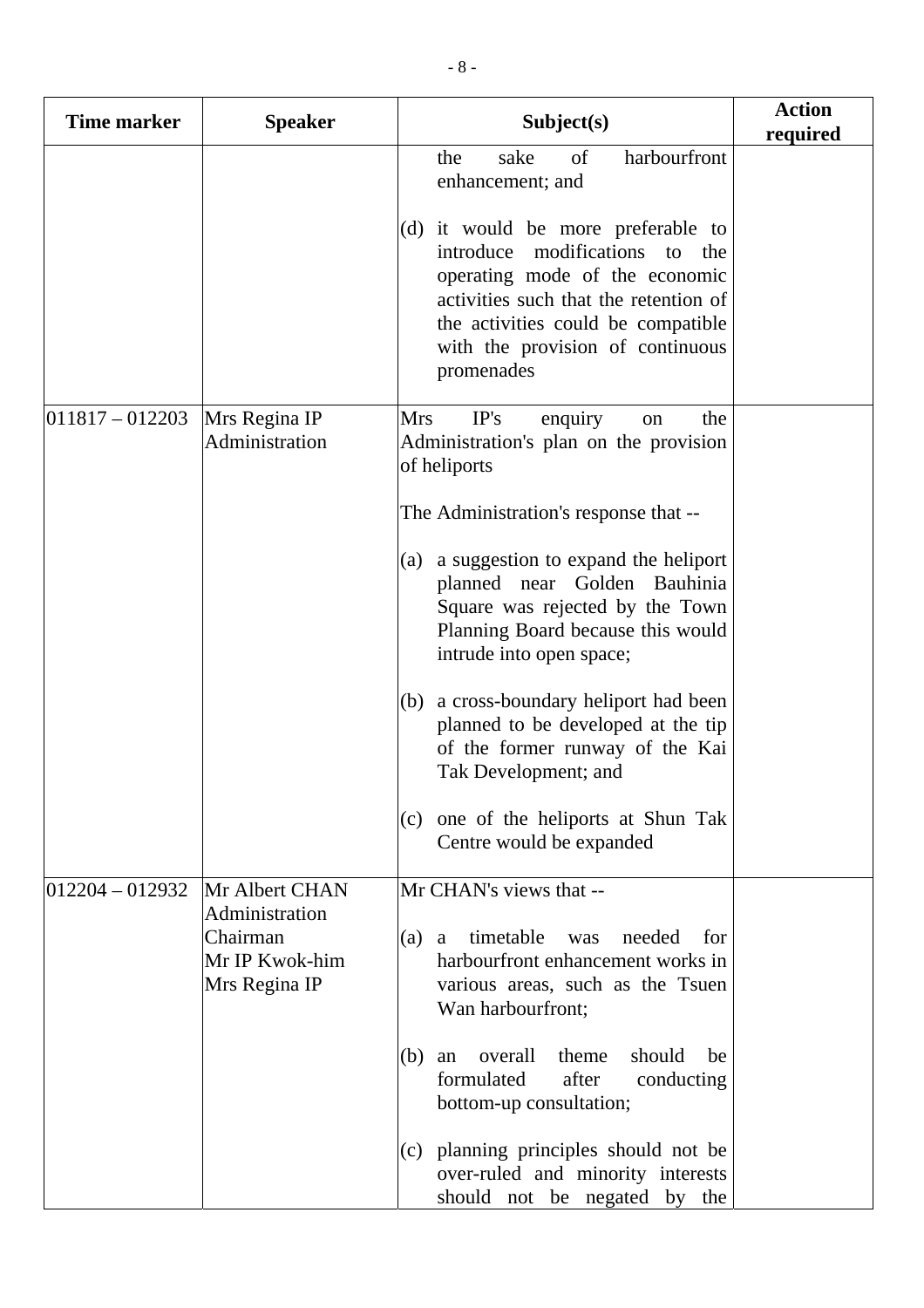| <b>Time marker</b>  | <b>Speaker</b>                                                                  | Subject(s)                                                                                                                                                                                                                                                                                          | <b>Action</b><br>required |
|---------------------|---------------------------------------------------------------------------------|-----------------------------------------------------------------------------------------------------------------------------------------------------------------------------------------------------------------------------------------------------------------------------------------------------|---------------------------|
|                     |                                                                                 | of<br>sake<br>harbourfront<br>the<br>enhancement; and<br>(d) it would be more preferable to<br>introduce modifications<br>to the<br>operating mode of the economic<br>activities such that the retention of<br>the activities could be compatible<br>with the provision of continuous<br>promenades |                           |
| $ 011817 - 012203 $ | Mrs Regina IP<br>Administration                                                 | IP's<br><b>Mrs</b><br>enquiry<br>the<br>on<br>Administration's plan on the provision<br>of heliports<br>The Administration's response that --                                                                                                                                                       |                           |
|                     |                                                                                 | (a) a suggestion to expand the heliport<br>planned near Golden Bauhinia<br>Square was rejected by the Town<br>Planning Board because this would<br>intrude into open space;                                                                                                                         |                           |
|                     |                                                                                 | (b) a cross-boundary heliport had been<br>planned to be developed at the tip<br>of the former runway of the Kai<br>Tak Development; and                                                                                                                                                             |                           |
|                     |                                                                                 | (c) one of the heliports at Shun Tak<br>Centre would be expanded                                                                                                                                                                                                                                    |                           |
| $012204 - 012932$   | Mr Albert CHAN<br>Administration<br>Chairman<br>Mr IP Kwok-him<br>Mrs Regina IP | Mr CHAN's views that --<br>timetable<br>needed<br>$(a)$ a<br>was<br>for<br>harbourfront enhancement works in<br>various areas, such as the Tsuen<br>Wan harbourfront;                                                                                                                               |                           |
|                     |                                                                                 | overall<br>theme<br>should<br>(b)<br>be<br>an<br>formulated<br>after<br>conducting<br>bottom-up consultation;                                                                                                                                                                                       |                           |
|                     |                                                                                 | (c) planning principles should not be<br>over-ruled and minority interests<br>should not be negated by the                                                                                                                                                                                          |                           |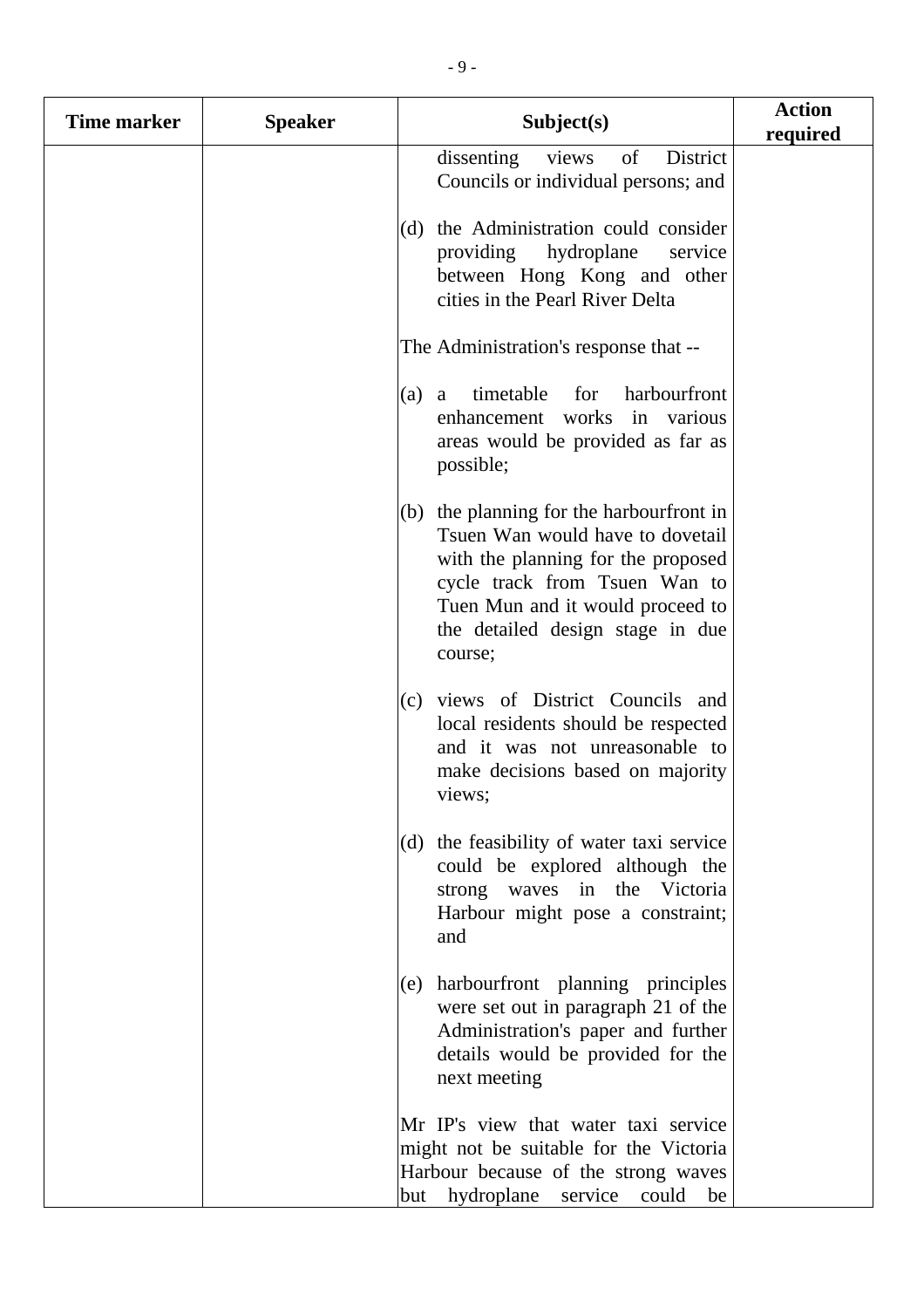| <b>Time marker</b> | <b>Speaker</b> | Subject(s)                                                                                                                                                                                                                               | <b>Action</b><br>required |
|--------------------|----------------|------------------------------------------------------------------------------------------------------------------------------------------------------------------------------------------------------------------------------------------|---------------------------|
|                    |                | dissenting<br>views<br>of<br>District<br>Councils or individual persons; and                                                                                                                                                             |                           |
|                    |                | the Administration could consider<br>(d)<br>providing<br>hydroplane<br>service<br>between Hong Kong and other<br>cities in the Pearl River Delta                                                                                         |                           |
|                    |                | The Administration's response that --                                                                                                                                                                                                    |                           |
|                    |                | timetable<br>for<br>harbourfront<br>(a)<br>a<br>enhancement works<br>in various<br>areas would be provided as far as<br>possible;                                                                                                        |                           |
|                    |                | $(b)$ the planning for the harbourfront in<br>Tsuen Wan would have to dovetail<br>with the planning for the proposed<br>cycle track from Tsuen Wan to<br>Tuen Mun and it would proceed to<br>the detailed design stage in due<br>course; |                           |
|                    |                | views of District Councils and<br>(c)<br>local residents should be respected<br>and it was not unreasonable to<br>make decisions based on majority<br>views;                                                                             |                           |
|                    |                | the feasibility of water taxi service<br>(d)<br>could be explored although the<br>waves in the Victoria<br>strong<br>Harbour might pose a constraint;<br>and                                                                             |                           |
|                    |                | harbourfront planning principles<br>(e)<br>were set out in paragraph 21 of the<br>Administration's paper and further<br>details would be provided for the<br>next meeting                                                                |                           |
|                    |                | Mr IP's view that water taxi service<br>might not be suitable for the Victoria<br>Harbour because of the strong waves<br>hydroplane<br>could<br>service<br>but<br>be                                                                     |                           |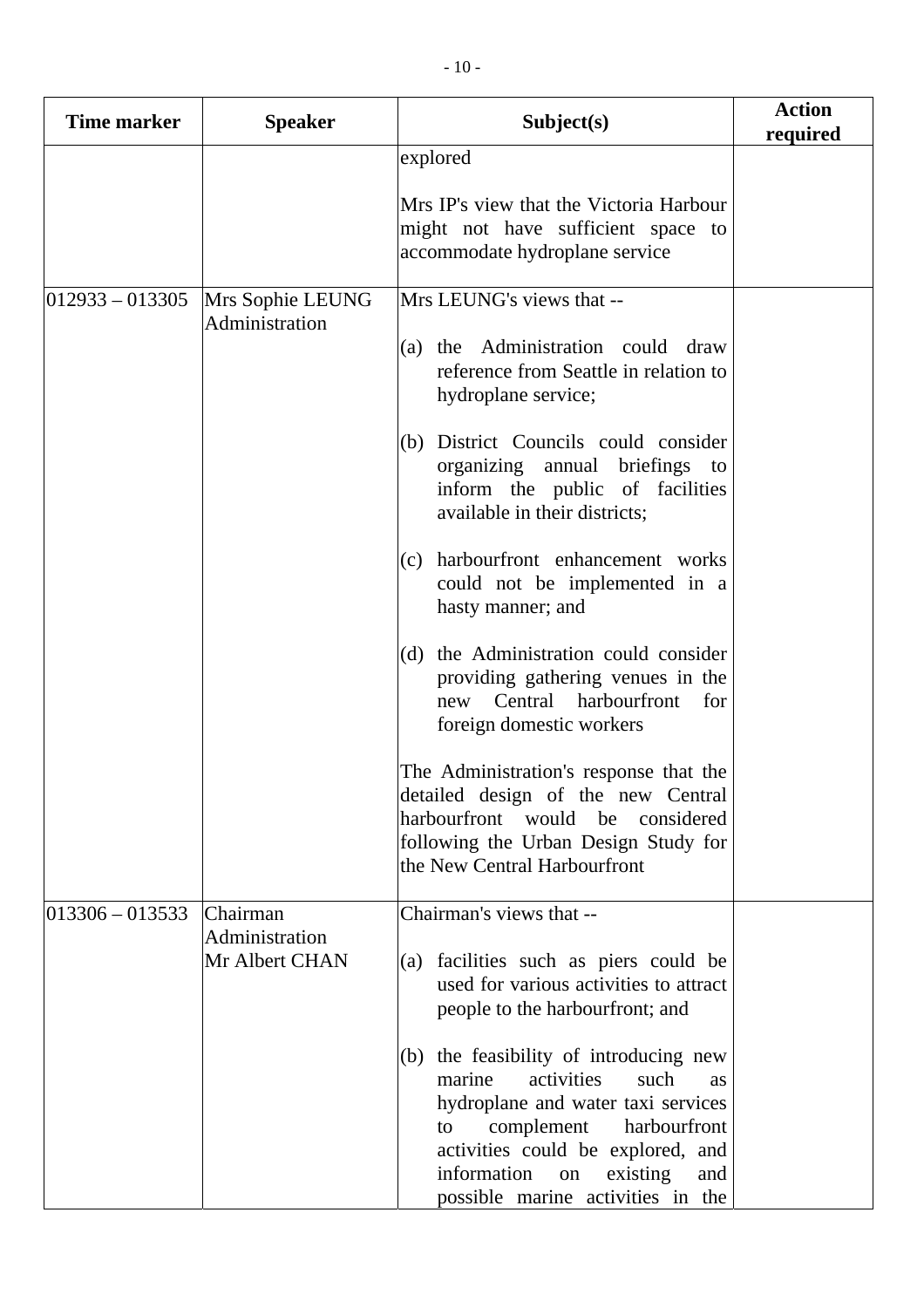| <b>Time marker</b>  | <b>Speaker</b>                               | Subject(s)                                                                                                                                                                                                                                                                                                                                                                                                                                                                                                                                                                                                                                                                                                           | <b>Action</b><br>required |
|---------------------|----------------------------------------------|----------------------------------------------------------------------------------------------------------------------------------------------------------------------------------------------------------------------------------------------------------------------------------------------------------------------------------------------------------------------------------------------------------------------------------------------------------------------------------------------------------------------------------------------------------------------------------------------------------------------------------------------------------------------------------------------------------------------|---------------------------|
|                     |                                              | explored<br>Mrs IP's view that the Victoria Harbour<br>might not have sufficient space to<br>accommodate hydroplane service                                                                                                                                                                                                                                                                                                                                                                                                                                                                                                                                                                                          |                           |
| $012933 - 013305$   | Mrs Sophie LEUNG<br>Administration           | Mrs LEUNG's views that --<br>(a) the Administration could draw<br>reference from Seattle in relation to<br>hydroplane service;<br>(b) District Councils could consider<br>organizing annual briefings to<br>inform the public of facilities<br>available in their districts;<br>(c) harbourfront enhancement works<br>could not be implemented in a<br>hasty manner; and<br>(d) the Administration could consider<br>providing gathering venues in the<br>new Central harbourfront<br>for<br>foreign domestic workers<br>The Administration's response that the<br>detailed design of the new Central<br>harbourfront would be<br>considered<br>following the Urban Design Study for<br>the New Central Harbourfront |                           |
| $ 013306 - 013533 $ | Chairman<br>Administration<br>Mr Albert CHAN | Chairman's views that --<br>(a) facilities such as piers could be<br>used for various activities to attract<br>people to the harbourfront; and<br>(b) the feasibility of introducing new<br>marine<br>activities<br>such<br><b>as</b><br>hydroplane and water taxi services<br>complement<br>harbourfront<br>to<br>activities could be explored, and<br>information<br>existing<br>on<br>and<br>possible marine activities in the                                                                                                                                                                                                                                                                                    |                           |